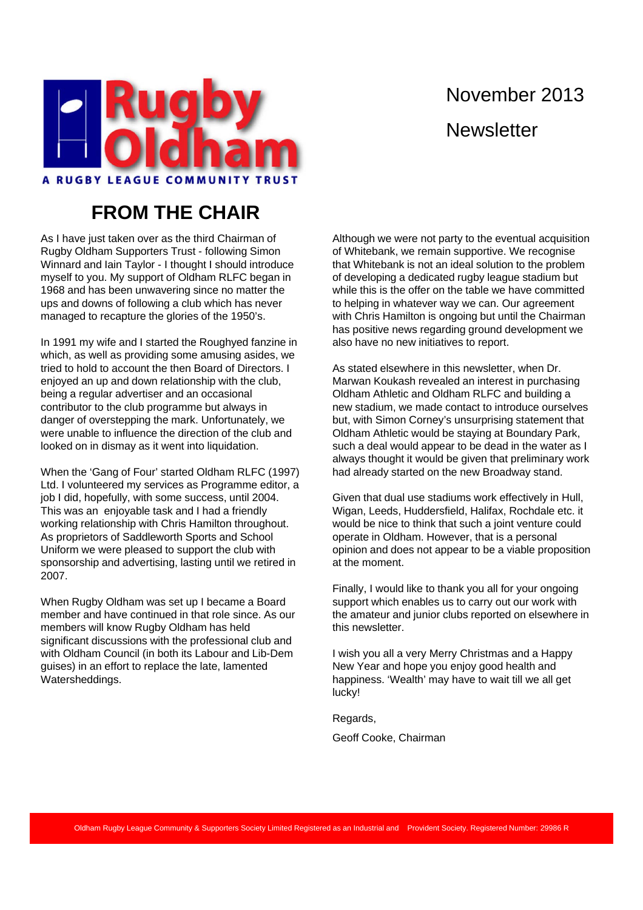

# November 2013 **Newsletter**

#### **FROM THE CHAIR**

As I have just taken over as the third Chairman of Rugby Oldham Supporters Trust - following Simon Winnard and Iain Taylor - I thought I should introduce myself to you. My support of Oldham RLFC began in 1968 and has been unwavering since no matter the ups and downs of following a club which has never managed to recapture the glories of the 1950's.

In 1991 my wife and I started the Roughyed fanzine in which, as well as providing some amusing asides, we tried to hold to account the then Board of Directors. I enjoyed an up and down relationship with the club, being a regular advertiser and an occasional contributor to the club programme but always in danger of overstepping the mark. Unfortunately, we were unable to influence the direction of the club and looked on in dismay as it went into liquidation.

When the 'Gang of Four' started Oldham RLFC (1997) Ltd. I volunteered my services as Programme editor, a job I did, hopefully, with some success, until 2004. This was an enjoyable task and I had a friendly working relationship with Chris Hamilton throughout. As proprietors of Saddleworth Sports and School Uniform we were pleased to support the club with sponsorship and advertising, lasting until we retired in 2007.

When Rugby Oldham was set up I became a Board member and have continued in that role since. As our members will know Rugby Oldham has held significant discussions with the professional club and with Oldham Council (in both its Labour and Lib-Dem guises) in an effort to replace the late, lamented Watersheddings.

Although we were not party to the eventual acquisition of Whitebank, we remain supportive. We recognise that Whitebank is not an ideal solution to the problem of developing a dedicated rugby league stadium but while this is the offer on the table we have committed to helping in whatever way we can. Our agreement with Chris Hamilton is ongoing but until the Chairman has positive news regarding ground development we also have no new initiatives to report.

As stated elsewhere in this newsletter, when Dr. Marwan Koukash revealed an interest in purchasing Oldham Athletic and Oldham RLFC and building a new stadium, we made contact to introduce ourselves but, with Simon Corney's unsurprising statement that Oldham Athletic would be staying at Boundary Park, such a deal would appear to be dead in the water as I always thought it would be given that preliminary work had already started on the new Broadway stand.

Given that dual use stadiums work effectively in Hull, Wigan, Leeds, Huddersfield, Halifax, Rochdale etc. it would be nice to think that such a joint venture could operate in Oldham. However, that is a personal opinion and does not appear to be a viable proposition at the moment.

Finally, I would like to thank you all for your ongoing support which enables us to carry out our work with the amateur and junior clubs reported on elsewhere in this newsletter.

I wish you all a very Merry Christmas and a Happy New Year and hope you enjoy good health and happiness. 'Wealth' may have to wait till we all get lucky!

Regards,

Geoff Cooke, Chairman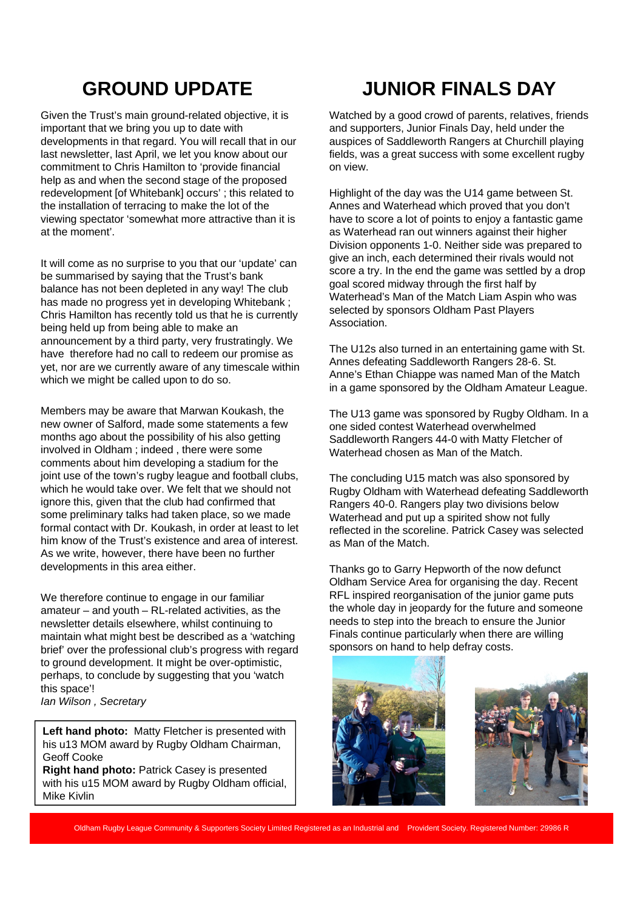# **GROUND UPDATE**

Given the Trust's main ground-related objective, it is important that we bring you up to date with developments in that regard. You will recall that in our last newsletter, last April, we let you know about our commitment to Chris Hamilton to 'provide financial help as and when the second stage of the proposed redevelopment [of Whitebank] occurs' ; this related to the installation of terracing to make the lot of the viewing spectator 'somewhat more attractive than it is at the moment'.

It will come as no surprise to you that our 'update' can be summarised by saying that the Trust's bank balance has not been depleted in any way! The club has made no progress yet in developing Whitebank ; Chris Hamilton has recently told us that he is currently being held up from being able to make an announcement by a third party, very frustratingly. We have therefore had no call to redeem our promise as yet, nor are we currently aware of any timescale within which we might be called upon to do so.

Members may be aware that Marwan Koukash, the new owner of Salford, made some statements a few months ago about the possibility of his also getting involved in Oldham ; indeed , there were some comments about him developing a stadium for the joint use of the town's rugby league and football clubs, which he would take over. We felt that we should not ignore this, given that the club had confirmed that some preliminary talks had taken place, so we made formal contact with Dr. Koukash, in order at least to let him know of the Trust's existence and area of interest. As we write, however, there have been no further developments in this area either.

We therefore continue to engage in our familiar amateur – and youth – RL-related activities, as the newsletter details elsewhere, whilst continuing to maintain what might best be described as a 'watching brief' over the professional club's progress with regard to ground development. It might be over-optimistic, perhaps, to conclude by suggesting that you 'watch this space'!

*Ian Wilson , Secretary*

Left hand photo: Matty Fletcher is presented with his u13 MOM award by Rugby Oldham Chairman, Geoff Cooke

**Right hand photo:** Patrick Casey is presented with his u15 MOM award by Rugby Oldham official, Mike Kivlin

# **JUNIOR FINALS DAY**

Watched by a good crowd of parents, relatives, friends and supporters, Junior Finals Day, held under the auspices of Saddleworth Rangers at Churchill playing fields, was a great success with some excellent rugby on view.

Highlight of the day was the U14 game between St. Annes and Waterhead which proved that you don't have to score a lot of points to enjoy a fantastic game as Waterhead ran out winners against their higher Division opponents 1-0. Neither side was prepared to give an inch, each determined their rivals would not score a try. In the end the game was settled by a drop goal scored midway through the first half by Waterhead's Man of the Match Liam Aspin who was selected by sponsors Oldham Past Players Association.

The U12s also turned in an entertaining game with St. Annes defeating Saddleworth Rangers 28-6. St. Anne's Ethan Chiappe was named Man of the Match in a game sponsored by the Oldham Amateur League.

The U13 game was sponsored by Rugby Oldham. In a one sided contest Waterhead overwhelmed Saddleworth Rangers 44-0 with Matty Fletcher of Waterhead chosen as Man of the Match.

The concluding U15 match was also sponsored by Rugby Oldham with Waterhead defeating Saddleworth Rangers 40-0. Rangers play two divisions below Waterhead and put up a spirited show not fully reflected in the scoreline. Patrick Casey was selected as Man of the Match.

Thanks go to Garry Hepworth of the now defunct Oldham Service Area for organising the day. Recent RFL inspired reorganisation of the junior game puts the whole day in jeopardy for the future and someone needs to step into the breach to ensure the Junior Finals continue particularly when there are willing sponsors on hand to help defray costs.





Oldham Rugby League Community & Supporters Society Limited Registered as an Industrial and Provident Society. Registered Number: 29986 R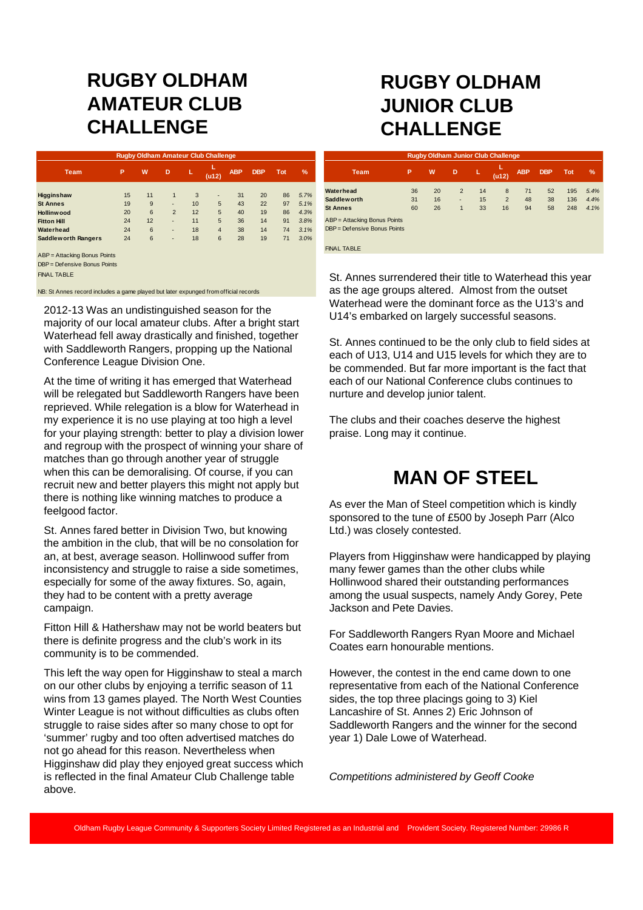#### **RUGBY OLDHAM AMATEUR CLUB CHALLENGE**

| <b>Rugby Oldham Amateur Club Challenge</b>                   |    |    |                |    |                |            |            |            |      |  |
|--------------------------------------------------------------|----|----|----------------|----|----------------|------------|------------|------------|------|--|
| <b>Team</b>                                                  | P  | W  | D              | L  | (412)          | <b>ABP</b> | <b>DBP</b> | <b>Tot</b> | $\%$ |  |
| Higginshaw                                                   | 15 | 11 | $\mathbf{1}$   | 3  | ٠              | 31         | 20         | 86         | 5.7% |  |
| <b>St Annes</b>                                              | 19 | 9  | ٠              | 10 | 5              | 43         | 22         | 97         | 5.1% |  |
| Hollinwood                                                   | 20 | 6  | $\overline{2}$ | 12 | 5              | 40         | 19         | 86         | 4.3% |  |
| <b>Fitton Hill</b>                                           | 24 | 12 | ٠              | 11 | 5              | 36         | 14         | 91         | 3.8% |  |
| Waterhead                                                    | 24 | 6  | ٠              | 18 | $\overline{4}$ | 38         | 14         | 74         | 3.1% |  |
| <b>Saddleworth Rangers</b>                                   | 24 | 6  | ٠              | 18 | 6              | 28         | 19         | 71         | 3.0% |  |
| ABP = Attacking Bonus Points<br>DBP = Defensive Bonus Points |    |    |                |    |                |            |            |            |      |  |
| <b>FINAL TABLE</b>                                           |    |    |                |    |                |            |            |            |      |  |

NB: St Annes record includes a game played but later expunged from official records

2012-13 Was an undistinguished season for the majority of our local amateur clubs. After a bright start Waterhead fell away drastically and finished, together with Saddleworth Rangers, propping up the National Conference League Division One.

At the time of writing it has emerged that Waterhead will be relegated but Saddleworth Rangers have been reprieved. While relegation is a blow for Waterhead in my experience it is no use playing at too high a level for your playing strength: better to play a division lower and regroup with the prospect of winning your share of matches than go through another year of struggle when this can be demoralising. Of course, if you can recruit new and better players this might not apply but there is nothing like winning matches to produce a feelgood factor.

St. Annes fared better in Division Two, but knowing the ambition in the club, that will be no consolation for an, at best, average season. Hollinwood suffer from inconsistency and struggle to raise a side sometimes, especially for some of the away fixtures. So, again, they had to be content with a pretty average campaign.

Fitton Hill & Hathershaw may not be world beaters but there is definite progress and the club's work in its community is to be commended.

This left the way open for Higginshaw to steal a march on our other clubs by enjoying a terrific season of 11 wins from 13 games played. The North West Counties Winter League is not without difficulties as clubs often struggle to raise sides after so many chose to opt for 'summer' rugby and too often advertised matches do not go ahead for this reason. Nevertheless when Higginshaw did play they enjoyed great success which is reflected in the final Amateur Club Challenge table above.

#### **RUGBY OLDHAM JUNIOR CLUB CHALLENGE**

| <b>Rugby Oldham Junior Club Challenge</b> |    |    |   |    |            |            |            |            |      |  |  |
|-------------------------------------------|----|----|---|----|------------|------------|------------|------------|------|--|--|
| <b>Team</b>                               | P  | W  | D | L  | L<br>(u12) | <b>ABP</b> | <b>DBP</b> | <b>Tot</b> | %    |  |  |
| Waterhead                                 | 36 | 20 | 2 | 14 | 8          | 71         | 52         | 195        | 5.4% |  |  |
| <b>Saddleworth</b>                        | 31 | 16 | ٠ | 15 | 2          | 48         | 38         | 136        | 4.4% |  |  |
| <b>St Annes</b>                           | 60 | 26 | 1 | 33 | 16         | 94         | 58         | 248        | 4.1% |  |  |
| ABP = Attacking Bonus Points              |    |    |   |    |            |            |            |            |      |  |  |
| DBP = Defensive Bonus Points              |    |    |   |    |            |            |            |            |      |  |  |
|                                           |    |    |   |    |            |            |            |            |      |  |  |
| <b>FINAL TABLE</b>                        |    |    |   |    |            |            |            |            |      |  |  |

St. Annes surrendered their title to Waterhead this year as the age groups altered. Almost from the outset Waterhead were the dominant force as the U13's and U14's embarked on largely successful seasons.

St. Annes continued to be the only club to field sides at each of U13, U14 and U15 levels for which they are to be commended. But far more important is the fact that each of our National Conference clubs continues to nurture and develop junior talent.

The clubs and their coaches deserve the highest praise. Long may it continue.

#### **MAN OF STEEL**

As ever the Man of Steel competition which is kindly sponsored to the tune of £500 by Joseph Parr (Alco Ltd.) was closely contested.

Players from Higginshaw were handicapped by playing many fewer games than the other clubs while Hollinwood shared their outstanding performances among the usual suspects, namely Andy Gorey, Pete Jackson and Pete Davies.

For Saddleworth Rangers Ryan Moore and Michael Coates earn honourable mentions.

However, the contest in the end came down to one representative from each of the National Conference sides, the top three placings going to 3) Kiel Lancashire of St. Annes 2) Eric Johnson of Saddleworth Rangers and the winner for the second year 1) Dale Lowe of Waterhead.

*Competitions administered by Geoff Cooke*